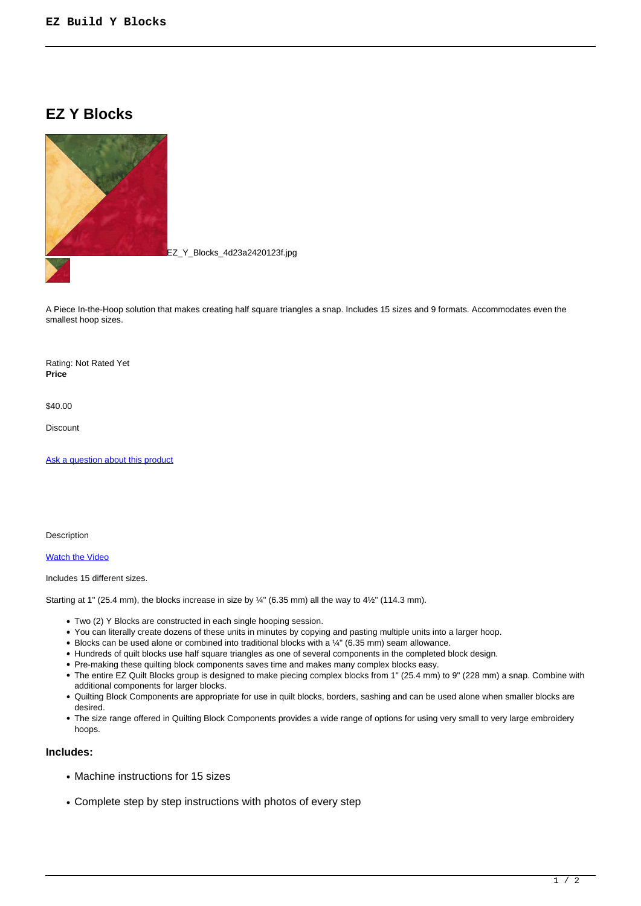# **EZ Y Blocks**



EZ\_Y\_Blocks\_4d23a2420123f.jpg

A Piece In-the-Hoop solution that makes creating half square triangles a snap. Includes 15 sizes and 9 formats. Accommodates even the smallest hoop sizes.

Rating: Not Rated Yet **Price** 

\$40.00

**Discount** 

[Ask a question about this product](https://www.queenofstitching.com/index.php?option=com_virtuemart&view=productdetails&task=askquestion&virtuemart_product_id=149&virtuemart_category_id=13&tmpl=component)

Description

[Watch the Video](http://www.queenofstitching.com/index.php/quilt-in-the-hoop-videos/131-ez-y-blocks-piece-in-the-hoop)

Includes 15 different sizes.

Starting at 1" (25.4 mm), the blocks increase in size by  $\frac{1}{4}$ " (6.35 mm) all the way to 4 $\frac{1}{2}$ " (114.3 mm).

- Two (2) Y Blocks are constructed in each single hooping session.
- You can literally create dozens of these units in minutes by copying and pasting multiple units into a larger hoop.
- Blocks can be used alone or combined into traditional blocks with a 1/4" (6.35 mm) seam allowance.
- Hundreds of quilt blocks use half square triangles as one of several components in the completed block design.
- Pre-making these quilting block components saves time and makes many complex blocks easy.
- The entire EZ Quilt Blocks group is designed to make piecing complex blocks from 1" (25.4 mm) to 9" (228 mm) a snap. Combine with additional components for larger blocks.
- Quilting Block Components are appropriate for use in quilt blocks, borders, sashing and can be used alone when smaller blocks are desired.
- The size range offered in Quilting Block Components provides a wide range of options for using very small to very large embroidery hoops.

#### **Includes:**

- Machine instructions for 15 sizes
- Complete step by step instructions with photos of every step